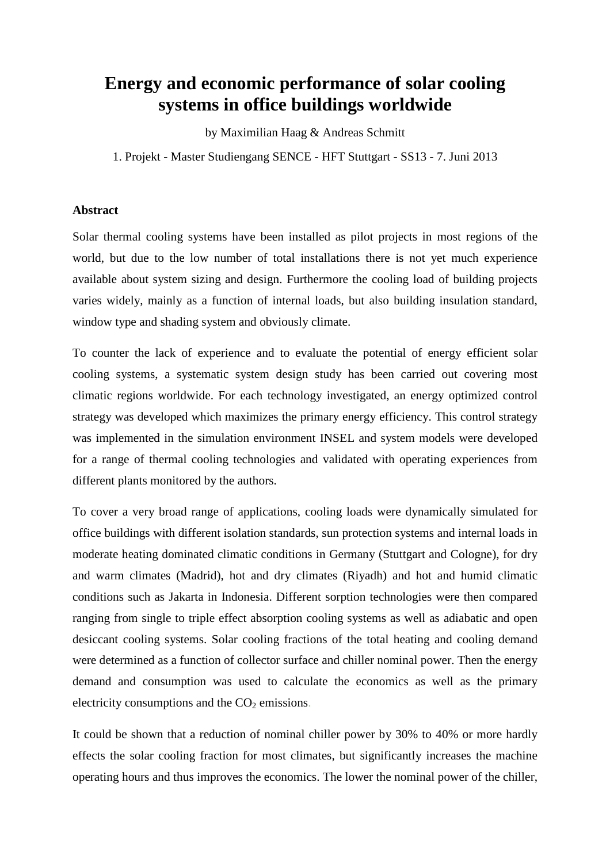## **Energy and economic performance of solar cooling systems in office buildings worldwide**

by Maximilian Haag & Andreas Schmitt

1. Projekt - Master Studiengang SENCE - HFT Stuttgart - SS13 - 7. Juni 2013

## **Abstract**

Solar thermal cooling systems have been installed as pilot projects in most regions of the world, but due to the low number of total installations there is not yet much experience available about system sizing and design. Furthermore the cooling load of building projects varies widely, mainly as a function of internal loads, but also building insulation standard, window type and shading system and obviously climate.

To counter the lack of experience and to evaluate the potential of energy efficient solar cooling systems, a systematic system design study has been carried out covering most climatic regions worldwide. For each technology investigated, an energy optimized control strategy was developed which maximizes the primary energy efficiency. This control strategy was implemented in the simulation environment INSEL and system models were developed for a range of thermal cooling technologies and validated with operating experiences from different plants monitored by the authors.

To cover a very broad range of applications, cooling loads were dynamically simulated for office buildings with different isolation standards, sun protection systems and internal loads in moderate heating dominated climatic conditions in Germany (Stuttgart and Cologne), for dry and warm climates (Madrid), hot and dry climates (Riyadh) and hot and humid climatic conditions such as Jakarta in Indonesia. Different sorption technologies were then compared ranging from single to triple effect absorption cooling systems as well as adiabatic and open desiccant cooling systems. Solar cooling fractions of the total heating and cooling demand were determined as a function of collector surface and chiller nominal power. Then the energy demand and consumption was used to calculate the economics as well as the primary electricity consumptions and the  $CO<sub>2</sub>$  emissions.

It could be shown that a reduction of nominal chiller power by 30% to 40% or more hardly effects the solar cooling fraction for most climates, but significantly increases the machine operating hours and thus improves the economics. The lower the nominal power of the chiller,